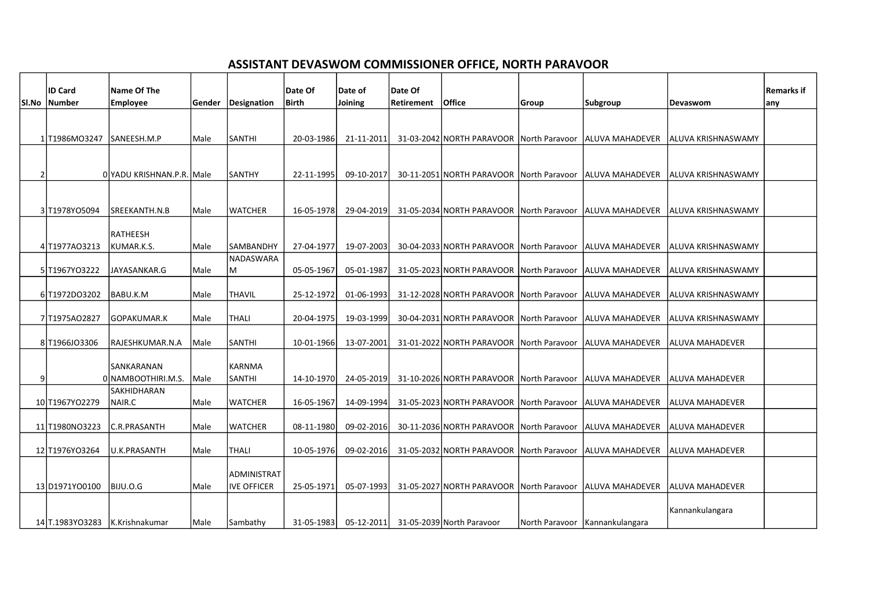## ASSISTANT DEVASWOM COMMISSIONER OFFICE, NORTH PARAVOOR

|       | <b>ID Card</b>                 | Name Of The               |        |                    | Date Of    | Date of    | Date Of    |                                          |                |                                  |                        | <b>Remarks if</b> |
|-------|--------------------------------|---------------------------|--------|--------------------|------------|------------|------------|------------------------------------------|----------------|----------------------------------|------------------------|-------------------|
| Sl.No | <b>Number</b>                  | <b>Employee</b>           | Gender | Designation        | Birth      | Joining    | Retirement | <b>Office</b>                            | <b>Group</b>   | Subgroup                         | <b>Devaswom</b>        | any               |
|       |                                |                           |        |                    |            |            |            |                                          |                |                                  |                        |                   |
|       |                                |                           |        |                    |            |            |            |                                          |                |                                  |                        |                   |
|       | 1T1986M03247                   | SANEESH.M.P               | Male   | <b>SANTHI</b>      | 20-03-1986 | 21-11-2011 |            | 31-03-2042 NORTH PARAVOOR North Paravoor |                | laluva Mahadever                 | laluva krishnaswamy    |                   |
|       |                                |                           |        |                    |            |            |            |                                          |                |                                  |                        |                   |
| 2     |                                | 0 YADU KRISHNAN.P.R. Male |        | <b>SANTHY</b>      | 22-11-1995 | 09-10-2017 |            | 30-11-2051 NORTH PARAVOOR North Paravoor |                | <b>JALUVA MAHADEVER</b>          | ALUVA KRISHNASWAMY     |                   |
|       |                                |                           |        |                    |            |            |            |                                          |                |                                  |                        |                   |
|       |                                |                           |        |                    |            |            |            |                                          |                |                                  |                        |                   |
|       | 3 T1978YO5094                  | SREEKANTH.N.B             | Male   | <b>WATCHER</b>     | 16-05-1978 | 29-04-2019 |            | 31-05-2034 NORTH PARAVOOR North Paravoor |                | lALUVA MAHADEVER                 | ALUVA KRISHNASWAMY     |                   |
|       |                                |                           |        |                    |            |            |            |                                          |                |                                  |                        |                   |
|       |                                | RATHEESH                  |        |                    |            |            |            |                                          |                |                                  |                        |                   |
|       | 4 T1977A03213                  | KUMAR.K.S.                | Male   | <b>SAMBANDHY</b>   | 27-04-1977 | 19-07-2003 |            | 30-04-2033 NORTH PARAVOOR North Paravoor |                | laluva mahadever                 | ALUVA KRISHNASWAMY     |                   |
|       |                                |                           |        | NADASWARA          |            |            |            |                                          |                |                                  |                        |                   |
|       | 5 T1967YO3222                  | JAYASANKAR.G              | Male   | М                  | 05-05-1967 | 05-01-1987 |            | 31-05-2023 NORTH PARAVOOR                | North Paravoor | <b>ALUVA MAHADEVER</b>           | ALUVA KRISHNASWAMY     |                   |
|       | 6 T1972DO3202                  | BABU.K.M                  | Male   | <b>THAVIL</b>      | 25-12-1972 | 01-06-1993 |            | 31-12-2028 NORTH PARAVOOR                | North Paravoor | ALUVA MAHADEVER                  | ALUVA KRISHNASWAMY     |                   |
|       |                                |                           |        |                    |            |            |            |                                          |                |                                  |                        |                   |
|       | 7 T1975A02827                  | GOPAKUMAR.K               | Male   | <b>THALI</b>       | 20-04-1975 | 19-03-1999 |            | 30-04-2031 NORTH PARAVOOR North Paravoor |                | ALUVA MAHADEVER                  | ALUVA KRISHNASWAMY     |                   |
|       |                                |                           |        |                    |            |            |            |                                          |                |                                  |                        |                   |
|       | 8 T1966J03306                  | RAJESHKUMAR.N.A           | Male   | <b>SANTHI</b>      | 10-01-1966 | 13-07-2001 |            | 31-01-2022 NORTH PARAVOOR North Paravoor |                | <b>ALUVA MAHADEVER</b>           | <b>ALUVA MAHADEVER</b> |                   |
|       |                                |                           |        |                    |            |            |            |                                          |                |                                  |                        |                   |
|       |                                | SANKARANAN                |        | KARNMA             |            |            |            |                                          |                |                                  |                        |                   |
|       |                                | 0 NAMBOOTHIRI.M.S.        | Male   | <b>SANTHI</b>      | 14-10-1970 | 24-05-2019 |            | 31-10-2026 NORTH PARAVOOR North Paravoor |                | <b>JALUVA MAHADEVER</b>          | ALUVA MAHADEVER        |                   |
|       |                                | SAKHIDHARAN               |        |                    |            |            |            |                                          |                |                                  |                        |                   |
|       | 10 T1967YO2279                 | NAIR.C                    | Male   | <b>WATCHER</b>     | 16-05-1967 | 14-09-1994 |            | 31-05-2023 NORTH PARAVOOR North Paravoor |                | ALUVA MAHADEVER                  | <b>ALUVA MAHADEVER</b> |                   |
|       | 11 T1980NO3223                 | C.R.PRASANTH              | Male   | <b>WATCHER</b>     | 08-11-1980 | 09-02-2016 |            | 30-11-2036 NORTH PARAVOOR North Paravoor |                | ALUVA MAHADEVER                  | <b>ALUVA MAHADEVER</b> |                   |
|       |                                |                           |        |                    |            |            |            |                                          |                |                                  |                        |                   |
|       | 12 T1976YO3264                 | U.K.PRASANTH              | Male   | <b>THALI</b>       | 10-05-1976 | 09-02-2016 |            | 31-05-2032 NORTH PARAVOOR North Paravoor |                | ALUVA MAHADEVER                  | <b>ALUVA MAHADEVER</b> |                   |
|       |                                |                           |        |                    |            |            |            |                                          |                |                                  |                        |                   |
|       |                                |                           |        | ADMINISTRAT        |            |            |            |                                          |                |                                  |                        |                   |
|       | 13 D1971YO0100                 | BIJU.O.G                  | Male   | <b>IVE OFFICER</b> | 25-05-1971 | 05-07-1993 |            | 31-05-2027 NORTH PARAVOOR North Paravoor |                | laluva mahadever                 | <b>ALUVA MAHADEVER</b> |                   |
|       |                                |                           |        |                    |            |            |            |                                          |                |                                  |                        |                   |
|       |                                |                           |        |                    |            |            |            |                                          |                |                                  | Kannankulangara        |                   |
|       | 14 T.1983YO3283 K.Krishnakumar |                           | Male   | Sambathy           | 31-05-1983 |            |            | 05-12-2011 31-05-2039 North Paravoor     |                | North Paravoor   Kannankulangara |                        |                   |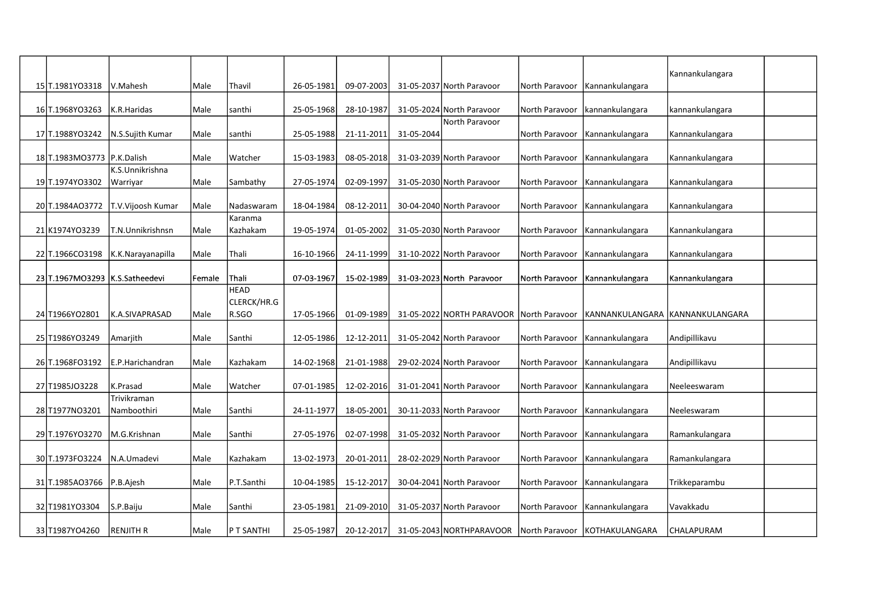| 15 T.1981Y03318                  | V.Mahesh          | Male   | <b>Thavil</b>              | 26-05-1981 | 09-07-2003 |            | 31-05-2037 North Paravoor |                | North Paravoor   Kannankulangara | Kannankulangara |  |
|----------------------------------|-------------------|--------|----------------------------|------------|------------|------------|---------------------------|----------------|----------------------------------|-----------------|--|
|                                  |                   |        |                            |            |            |            |                           |                |                                  |                 |  |
| 16 T.1968 YO 3263                | K.R.Haridas       | Male   | Isanthi                    | 25-05-1968 | 28-10-1987 |            | 31-05-2024 North Paravoor |                | North Paravoor   kannankulangara | kannankulangara |  |
| 17 T.1988YO3242                  | N.S.Sujith Kumar  | Male   | santhi                     | 25-05-1988 | 21-11-2011 | 31-05-2044 | North Paravoor            | North Paravoor | Kannankulangara                  | Kannankulangara |  |
| 18 T.1983MO3773   P.K.Dalish     |                   | Male   | Watcher                    | 15-03-1983 | 08-05-2018 |            | 31-03-2039 North Paravoor |                | North Paravoor   Kannankulangara | Kannankulangara |  |
|                                  | K.S.Unnikrishna   |        |                            |            |            |            |                           |                |                                  |                 |  |
| 19 T.1974YO3302                  | Warriyar          | Male   | Sambathy                   | 27-05-1974 | 02-09-1997 |            | 31-05-2030 North Paravoor | North Paravoor | Kannankulangara                  | Kannankulangara |  |
| 20 T.1984A03772                  | T.V.Vijoosh Kumar | Male   | Nadaswaram                 | 18-04-1984 | 08-12-2011 |            | 30-04-2040 North Paravoor | North Paravoor | Kannankulangara                  | Kannankulangara |  |
| 21 K1974YO3239                   | T.N.Unnikrishnsn  | Male   | Karanma<br>Kazhakam        | 19-05-1974 | 01-05-2002 |            | 31-05-2030 North Paravoor | North Paravoor | Kannankulangara                  | Kannankulangara |  |
| 22 T.1966CO3198                  | K.K.Narayanapilla | Male   | Thali                      | 16-10-1966 | 24-11-1999 |            | 31-10-2022 North Paravoor |                | North Paravoor   Kannankulangara | Kannankulangara |  |
| 23 T.1967MO3293   K.S.Satheedevi |                   | Female | Thali                      | 07-03-1967 | 15-02-1989 |            | 31-03-2023 North Paravoor |                | North Paravoor Kannankulangara   | Kannankulangara |  |
|                                  |                   |        | <b>HEAD</b><br>CLERCK/HR.G |            |            |            |                           |                |                                  |                 |  |
| 24 T1966YO2801                   | K.A.SIVAPRASAD    | Male   | R.SGO                      | 17-05-1966 | 01-09-1989 |            | 31-05-2022 NORTH PARAVOOR | North Paravoor | KANNANKULANGARA                  | KANNANKULANGARA |  |
| 25 T1986YO3249                   | Amarjith          | Male   | <b>Santhi</b>              | 12-05-1986 | 12-12-2011 |            | 31-05-2042 North Paravoor |                | North Paravoor   Kannankulangara | Andipillikavu   |  |
| 26 T.1968FO3192                  | E.P.Harichandran  | Male   | Kazhakam                   | 14-02-1968 | 21-01-1988 |            | 29-02-2024 North Paravoor | North Paravoor | Kannankulangara                  | Andipillikavu   |  |
| 27 T1985JO3228                   | K.Prasad          | Male   | l Watcher                  | 07-01-1985 | 12-02-2016 |            | 31-01-2041 North Paravoor |                | North Paravoor   Kannankulangara | Neeleeswaram    |  |
|                                  | Trivikraman       |        |                            |            |            |            |                           |                |                                  |                 |  |
| 28 T1977NO3201                   | Namboothiri       | Male   | <b>Santhi</b>              | 24-11-1977 | 18-05-2001 |            | 30-11-2033 North Paravoor | North Paravoor | Kannankulangara                  | Neeleswaram     |  |
| 29 T.1976YO3270                  | M.G.Krishnan      | Male   | lSanthi                    | 27-05-1976 | 02-07-1998 |            | 31-05-2032 North Paravoor |                | North Paravoor   Kannankulangara | Ramankulangara  |  |
| 30 T.1973FO3224                  | N.A.Umadevi       | Male   | Kazhakam                   | 13-02-1973 | 20-01-2011 |            | 28-02-2029 North Paravoor | North Paravoor | Kannankulangara                  | Ramankulangara  |  |
| 31 T.1985AO3766                  | P.B.Ajesh         | Male   | P.T.Santhi                 | 10-04-1985 | 15-12-2017 |            | 30-04-2041 North Paravoor | North Paravoor | Kannankulangara                  | Trikkeparambu   |  |
| 32 T1981Y03304                   | S.P.Baiju         | Male   | <b>Santhi</b>              | 23-05-1981 | 21-09-2010 |            | 31-05-2037 North Paravoor | North Paravoor | Kannankulangara                  | Vavakkadu       |  |
| 33 T1987YO4260                   | <b>RENJITH R</b>  | Male   | <b>P T SANTHI</b>          | 25-05-1987 | 20-12-2017 |            | 31-05-2043 NORTHPARAVOOR  |                | North Paravoor KOTHAKULANGARA    | CHALAPURAM      |  |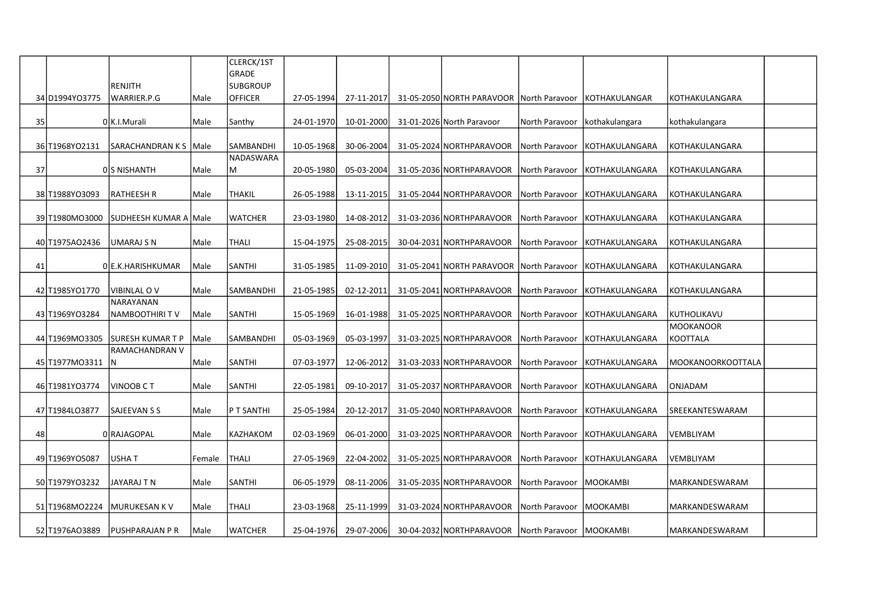|    |                  |                             |        | CLERCK/1ST      |            |            |                                          |                           |                      |                   |  |
|----|------------------|-----------------------------|--------|-----------------|------------|------------|------------------------------------------|---------------------------|----------------------|-------------------|--|
|    |                  |                             |        | <b>GRADE</b>    |            |            |                                          |                           |                      |                   |  |
|    |                  | RENJITH                     |        | <b>SUBGROUP</b> |            |            |                                          |                           |                      |                   |  |
|    | 34 D1994YO3775   | WARRIER.P.G                 | Male   | <b>OFFICER</b>  | 27-05-1994 | 27-11-2017 | 31-05-2050 NORTH PARAVOOR North Paravoor |                           | <b>KOTHAKULANGAR</b> | KOTHAKULANGARA    |  |
| 35 |                  | 0 K.I. Murali               | Male   | Santhy          | 24-01-1970 | 10-01-2000 | 31-01-2026 North Paravoor                | North Paravoor            | kothakulangara       | kothakulangara    |  |
|    | 36 T1968YO2131   | SARACHANDRAN K S            | Male   | SAMBANDHI       | 10-05-1968 | 30-06-2004 | 31-05-2024 NORTHPARAVOOR                 | North Paravoor            | KOTHAKULANGARA       | KOTHAKULANGARA    |  |
| 37 |                  | OS NISHANTH                 | Male   | NADASWARA<br>M  | 20-05-1980 | 05-03-2004 | 31-05-2036 NORTHPARAVOOR                 | North Paravoor            | KOTHAKULANGARA       | KOTHAKULANGARA    |  |
|    | 38 T1988YO3093   | RATHEESH R                  | Male   | <b>THAKIL</b>   | 26-05-1988 | 13-11-2015 | 31-05-2044 NORTHPARAVOOR                 | North Paravoor            | KOTHAKULANGARA       | KOTHAKULANGARA    |  |
|    |                  |                             |        |                 |            |            |                                          |                           |                      |                   |  |
|    | 39 T1980MO3000   | SUDHEESH KUMAR A Male       |        | <b>WATCHER</b>  | 23-03-1980 | 14-08-2012 | 31-03-2036 NORTHPARAVOOR                 | North Paravoor            | KOTHAKULANGARA       | KOTHAKULANGARA    |  |
|    | 40 T1975AO2436   | UMARAJ S N                  | Male   | <b>THALI</b>    | 15-04-1975 | 25-08-2015 | 30-04-2031 NORTHPARAVOOR                 | North Paravoor            | KOTHAKULANGARA       | KOTHAKULANGARA    |  |
| 41 |                  | 0 E.K. HARISHKUMAR          | Male   | SANTHI          | 31-05-1985 | 11-09-2010 | 31-05-2041 NORTH PARAVOOR                | North Paravoor            | KOTHAKULANGARA       | KOTHAKULANGARA    |  |
|    |                  |                             |        |                 |            |            |                                          |                           |                      |                   |  |
|    | 42 T1985YO1770   | <b>VIBINLAL OV</b>          | Male   | SAMBANDHI       | 21-05-1985 | 02-12-2011 | 31-05-2041 NORTHPARAVOOR                 | North Paravoor            | KOTHAKULANGARA       | KOTHAKULANGARA    |  |
|    | 43 T1969YO3284   | NARAYANAN<br>NAMBOOTHIRI TV | Male   | SANTHI          | 15-05-1969 | 16-01-1988 | 31-05-2025 NORTHPARAVOOR                 | North Paravoor            | KOTHAKULANGARA       | KUTHOLIKAVU       |  |
|    |                  |                             |        |                 |            |            |                                          |                           |                      | <b>MOOKANOOR</b>  |  |
|    | 44 T1969MO3305   | SURESH KUMAR T P            | Male   | SAMBANDHI       | 05-03-1969 | 05-03-1997 | 31-03-2025 NORTHPARAVOOR                 | North Paravoor            | KOTHAKULANGARA       | KOOTTALA          |  |
|    | 45 T1977MO3311 N | RAMACHANDRAN V              | Male   | SANTHI          | 07-03-1977 | 12-06-2012 | 31-03-2033 NORTHPARAVOOR                 | North Paravoor            | KOTHAKULANGARA       | MOOKANOORKOOTTALA |  |
|    |                  |                             |        |                 |            |            |                                          |                           |                      |                   |  |
|    | 46 T1981Y03774   | <b>VINOOB CT</b>            | Male   | <b>SANTHI</b>   | 22-05-1981 | 09-10-2017 | 31-05-2037 NORTHPARAVOOR                 | North Paravoor            | KOTHAKULANGARA       | ONJADAM           |  |
|    | 47 T1984 LO3877  | SAJEEVAN S S                | Male   | P T SANTHI      | 25-05-1984 | 20-12-2017 | 31-05-2040 NORTHPARAVOOR                 | North Paravoor            | KOTHAKULANGARA       | SREEKANTESWARAM   |  |
| 48 |                  | 0 RAJAGOPAL                 | Male   | KAZHAKOM        | 02-03-1969 | 06-01-2000 | 31-03-2025 NORTHPARAVOOR                 | North Paravoor            | KOTHAKULANGARA       | VEMBLIYAM         |  |
|    | 49 T1969YO5087   | <b>USHAT</b>                | Female | <b>THALI</b>    | 27-05-1969 | 22-04-2002 | 31-05-2025 NORTHPARAVOOR                 | North Paravoor            | lkothakulangara      | <b>VEMBLIYAM</b>  |  |
|    | 50 T1979YO3232   | JAYARAJ T N                 | Male   | SANTHI          | 06-05-1979 | 08-11-2006 | 31-05-2035 NORTHPARAVOOR                 | North Paravoor            | MOOKAMBI             | MARKANDESWARAM    |  |
|    |                  |                             |        |                 |            |            |                                          |                           |                      |                   |  |
|    | 51 T1968MO2224   | MURUKESAN K V               | Male   | THALI           | 23-03-1968 | 25-11-1999 | 31-03-2024 NORTHPARAVOOR                 | North Paravoor            | MOOKAMBI             | MARKANDESWARAM    |  |
|    | 52 T1976AO3889   | <b>PUSHPARAJAN P R</b>      | Male   | <b>WATCHER</b>  | 25-04-1976 | 29-07-2006 | 30-04-2032 NORTHPARAVOOR                 | North Paravoor   MOOKAMBI |                      | MARKANDESWARAM    |  |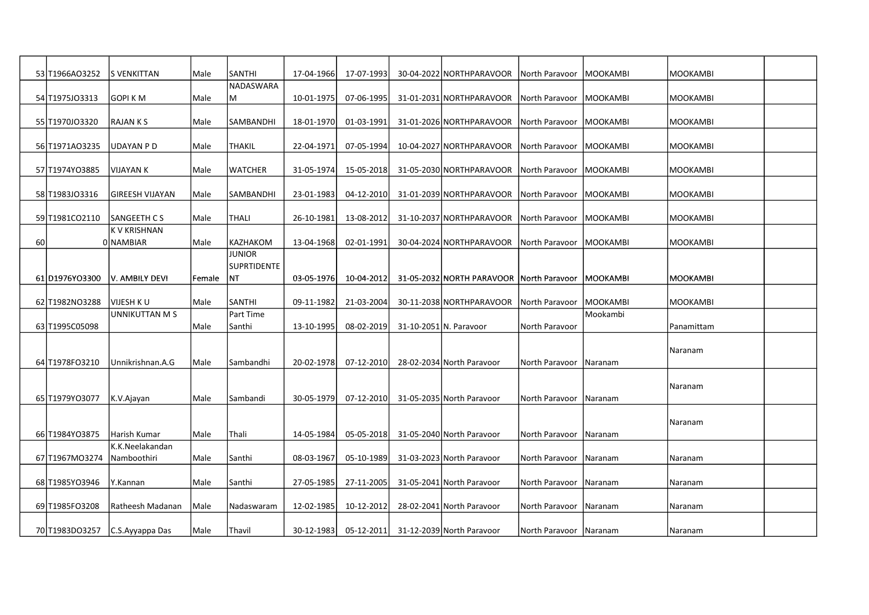|    | 53 T1966AO3252 | <b>S VENKITTAN</b>              | Male   | SANTHI                              | 17-04-1966 | 17-07-1993 | 30-04-2022 NORTHPARAVOOR                 | North Paravoor            | <b>MOOKAMBI</b> | <b>MOOKAMBI</b> |  |
|----|----------------|---------------------------------|--------|-------------------------------------|------------|------------|------------------------------------------|---------------------------|-----------------|-----------------|--|
|    | 54 T1975J03313 | <b>GOPIKM</b>                   | Male   | NADASWARA<br>lм                     | 10-01-1975 | 07-06-1995 | 31-01-2031 NORTHPARAVOOR                 | North Paravoor            | <b>MOOKAMBI</b> | <b>MOOKAMBI</b> |  |
|    | 55 T1970JO3320 | <b>RAJANKS</b>                  | Male   | SAMBANDHI                           | 18-01-1970 | 01-03-1991 | 31-01-2026 NORTHPARAVOOR                 | North Paravoor            | <b>MOOKAMBI</b> | <b>MOOKAMBI</b> |  |
|    | 56 T1971A03235 | UDAYAN P D                      | Male   | <b>THAKIL</b>                       | 22-04-1971 | 07-05-1994 | 10-04-2027 NORTHPARAVOOR                 | North Paravoor            | <b>MOOKAMBI</b> | <b>MOOKAMBI</b> |  |
|    | 57 T1974YO3885 | VIJAYAN K                       | Male   | WATCHER                             | 31-05-1974 | 15-05-2018 | 31-05-2030 NORTHPARAVOOR                 | North Paravoor            | MOOKAMBI        | MOOKAMBI        |  |
|    | 58 T1983J03316 | <b>GIREESH VIJAYAN</b>          | Male   | SAMBANDHI                           | 23-01-1983 | 04-12-2010 | 31-01-2039 NORTHPARAVOOR                 | North Paravoor   MOOKAMBI |                 | <b>MOOKAMBI</b> |  |
|    | 59 T1981CO2110 | <b>SANGEETH CS</b>              | Male   | <b>THALI</b>                        | 26-10-1981 | 13-08-2012 | 31-10-2037 NORTHPARAVOOR                 | North Paravoor   MOOKAMBI |                 | MOOKAMBI        |  |
| 60 |                | <b>KV KRISHNAN</b><br>0 NAMBIAR | Male   | KAZHAKOM                            | 13-04-1968 | 02-01-1991 | 30-04-2024 NORTHPARAVOOR                 | North Paravoor   MOOKAMBI |                 | <b>MOOKAMBI</b> |  |
|    |                |                                 |        | <b>JUNIOR</b><br><b>SUPRTIDENTE</b> |            |            |                                          |                           |                 |                 |  |
|    | 61 D1976YO3300 | V. AMBILY DEVI                  | Female | NT                                  | 03-05-1976 | 10-04-2012 | 31-05-2032 NORTH PARAVOOR North Paravoor |                           | <b>MOOKAMBI</b> | MOOKAMBI        |  |
|    | 62 T1982NO3288 | VIJESH K U                      | Male   | SANTHI                              | 09-11-1982 | 21-03-2004 | 30-11-2038 NORTHPARAVOOR                 | North Paravoor            | MOOKAMBI        | <b>MOOKAMBI</b> |  |
|    |                | <b>UNNIKUTTAN M S</b>           |        | Part Time                           |            |            |                                          |                           | Mookambi        |                 |  |
|    | 63 T1995C05098 |                                 | Male   | Santhi                              | 13-10-1995 | 08-02-2019 | 31-10-2051 N. Paravoor                   | North Paravoor            |                 | Panamittam      |  |
|    | 64 T1978FO3210 | Unnikrishnan.A.G                | Male   | Sambandhi                           | 20-02-1978 | 07-12-2010 | 28-02-2034 North Paravoor                | North Paravoor            | Naranam         | Naranam         |  |
|    |                |                                 |        |                                     |            |            |                                          |                           |                 |                 |  |
|    | 65 T1979YO3077 | K.V.Ajayan                      | Male   | lSambandi                           | 30-05-1979 | 07-12-2010 | 31-05-2035 North Paravoor                | North Paravoor            | Naranam         | Naranam         |  |
|    |                |                                 |        |                                     |            |            |                                          |                           |                 | Naranam         |  |
|    | 66 T1984Y03875 | Harish Kumar                    | Male   | Thali                               | 14-05-1984 | 05-05-2018 | 31-05-2040 North Paravoor                | North Paravoor   Naranam  |                 |                 |  |
|    | 67 T1967MO3274 | K.K.Neelakandan<br>Namboothiri  | Male   | <b>Santhi</b>                       | 08-03-1967 | 05-10-1989 | 31-03-2023 North Paravoor                | North Paravoor            | Naranam         | Naranam         |  |
|    | 68 T1985YO3946 | Y.Kannan                        | Male   | Santhi                              | 27-05-1985 | 27-11-2005 | 31-05-2041 North Paravoor                | North Paravoor            | Naranam         | Naranam         |  |
|    |                |                                 |        |                                     |            |            |                                          |                           |                 |                 |  |
|    | 69 T1985FO3208 | Ratheesh Madanan                | Male   | Nadaswaram                          | 12-02-1985 | 10-12-2012 | 28-02-2041 North Paravoor                | North Paravoor            | Naranam         | Naranam         |  |
|    |                | 70 T1983DO3257 C.S.Ayyappa Das  | Male   | Thavil                              | 30-12-1983 | 05-12-2011 | 31-12-2039 North Paravoor                | North Paravoor Naranam    |                 | Naranam         |  |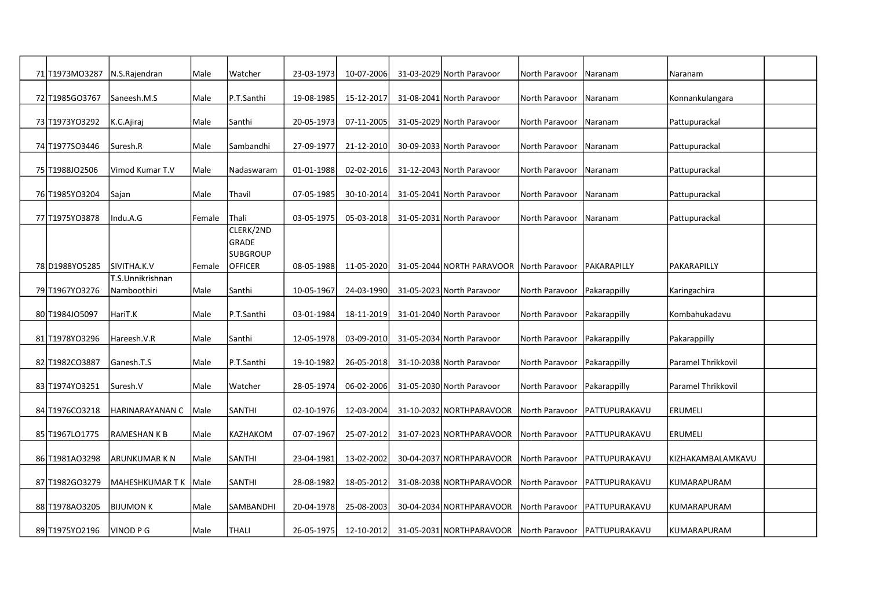| 71 T1973MO3287 | N.S.Rajendran                   | Male   | Watcher                           | 23-03-1973 | 10-07-2006 | 31-03-2029 North Paravoor                             | North Paravoor                | Naranam                        | Naranam            |  |
|----------------|---------------------------------|--------|-----------------------------------|------------|------------|-------------------------------------------------------|-------------------------------|--------------------------------|--------------------|--|
| 72 T1985GO3767 | Saneesh.M.S                     | Male   | P.T.Santhi                        | 19-08-1985 | 15-12-2017 | 31-08-2041 North Paravoor                             | North Paravoor                | Naranam                        | Konnankulangara    |  |
| 73 T1973YO3292 | K.C.Ajiraj                      | Male   | Santhi                            | 20-05-1973 | 07-11-2005 | 31-05-2029 North Paravoor                             | North Paravoor                | Naranam                        | Pattupurackal      |  |
| 74 T1977SO3446 | Suresh.R                        | Male   | Sambandhi                         | 27-09-1977 | 21-12-2010 | 30-09-2033 North Paravoor                             | North Paravoor                | Naranam                        | Pattupurackal      |  |
| 75 T1988JO2506 | Vimod Kumar T.V                 | Male   | Nadaswaram                        | 01-01-1988 | 02-02-2016 | 31-12-2043 North Paravoor                             | North Paravoor                | Naranam                        | Pattupurackal      |  |
| 76 T1985YO3204 | Sajan                           | Male   | Thavil                            | 07-05-1985 | 30-10-2014 | 31-05-2041 North Paravoor                             | North Paravoor   Naranam      |                                | Pattupurackal      |  |
| 77 T1975YO3878 | Indu.A.G                        | Female | <b>Thali</b>                      | 03-05-1975 | 05-03-2018 | 31-05-2031 North Paravoor                             | North Paravoor                | <b>INaranam</b>                | Pattupurackal      |  |
|                |                                 |        | CLERK/2ND<br>GRADE                |            |            |                                                       |                               |                                |                    |  |
| 78 D1988YO5285 | SIVITHA.K.V                     | Female | <b>SUBGROUP</b><br><b>OFFICER</b> | 08-05-1988 | 11-05-2020 | 31-05-2044 NORTH PARAVOOR North Paravoor PAKARAPILLY  |                               |                                | PAKARAPILLY        |  |
| 79 T1967YO3276 | T.S.Unnikrishnan<br>Namboothiri | Male   | Santhi                            | 10-05-1967 | 24-03-1990 | 31-05-2023 North Paravoor                             | North Paravoor Pakarappilly   |                                | Karingachira       |  |
| 80 T1984J05097 | HariT.K                         | Male   | P.T.Santhi                        | 03-01-1984 | 18-11-2019 | 31-01-2040 North Paravoor                             | North Paravoor                | Pakarappilly                   | Kombahukadavu      |  |
| 81 T1978YO3296 | Hareesh.V.R                     | Male   | Santhi                            | 12-05-1978 | 03-09-2010 | 31-05-2034 North Paravoor                             | North Paravoor Pakarappilly   |                                | Pakarappilly       |  |
| 82 T1982CO3887 | Ganesh.T.S                      | Male   | P.T.Santhi                        | 19-10-1982 | 26-05-2018 | 31-10-2038 North Paravoor                             | North Paravoor   Pakarappilly |                                | Paramel Thrikkovil |  |
| 83 T1974Y03251 | Suresh.V                        | Male   | l Watcher                         | 28-05-1974 | 06-02-2006 | 31-05-2030 North Paravoor                             | North Paravoor   Pakarappilly |                                | Paramel Thrikkovil |  |
| 84 T1976CO3218 | HARINARAYANAN C                 | Male   | SANTHI                            | 02-10-1976 | 12-03-2004 | 31-10-2032 NORTHPARAVOOR                              |                               | North Paravoor   PATTUPURAKAVU | <b>ERUMELI</b>     |  |
| 85 T1967LO1775 | RAMESHAN K B                    | Male   | KAZHAKOM                          | 07-07-1967 | 25-07-2012 | 31-07-2023 NORTHPARAVOOR                              |                               | North Paravoor   PATTUPURAKAVU | <b>ERUMELI</b>     |  |
| 86 T1981AO3298 | ARUNKUMAR K N                   | Male   | <b>SANTHI</b>                     | 23-04-1981 | 13-02-2002 | 30-04-2037 NORTHPARAVOOR                              |                               | North Paravoor   PATTUPURAKAVU | KIZHAKAMBALAMKAVU  |  |
| 87 T1982GO3279 | MAHESHKUMAR T K                 | Male   | SANTHI                            | 28-08-1982 | 18-05-2012 | 31-08-2038 NORTHPARAVOOR                              | North Paravoor                | PATTUPURAKAVU                  | KUMARAPURAM        |  |
| 88 T1978AO3205 | <b>BIJUMON K</b>                | Male   | SAMBANDHI                         | 20-04-1978 | 25-08-2003 | 30-04-2034 NORTHPARAVOOR                              |                               | North Paravoor   PATTUPURAKAVU | KUMARAPURAM        |  |
| 89 T1975YO2196 | VINOD P G                       | Male   | <b>THALI</b>                      | 26-05-1975 | 12-10-2012 | 31-05-2031 NORTHPARAVOOR North Paravoor PATTUPURAKAVU |                               |                                | KUMARAPURAM        |  |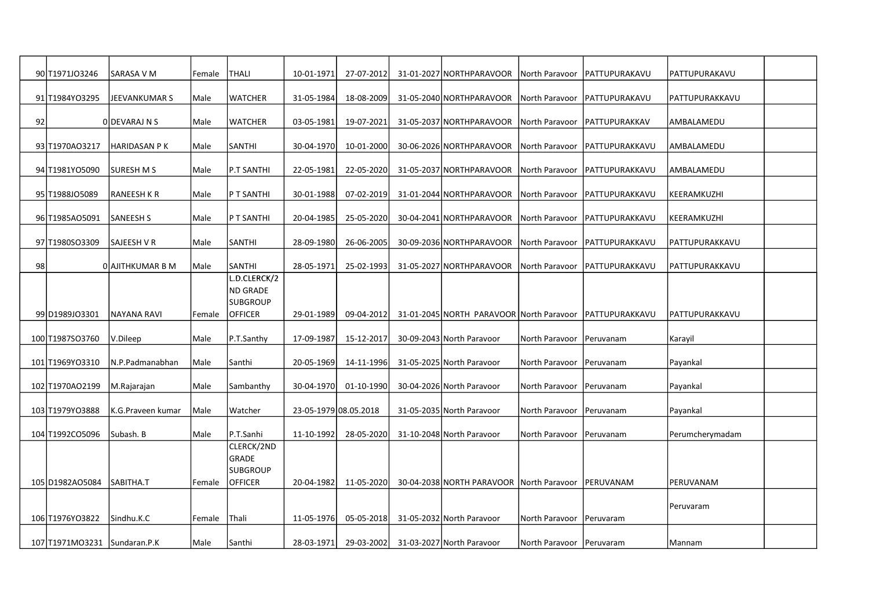|    | 90 T1971J03246               | SARASA V M         | Female | <b>THALI</b>                      | 10-01-1971            | 27-07-2012 | 31-01-2027 NORTHPARAVOOR                 | North Paravoor             | IPATTUPURAKAVU         | PATTUPURAKAVU   |  |
|----|------------------------------|--------------------|--------|-----------------------------------|-----------------------|------------|------------------------------------------|----------------------------|------------------------|-----------------|--|
|    | 91 T1984YO3295               | JEEVANKUMAR S      | Male   | <b>WATCHER</b>                    | 31-05-1984            | 18-08-2009 | 31-05-2040 NORTHPARAVOOR                 | North Paravoor             | PATTUPURAKAVU          | PATTUPURAKKAVU  |  |
| 92 |                              | O DEVARAJ N S      | Male   | <b>WATCHER</b>                    | 03-05-1981            | 19-07-2021 | 31-05-2037 NORTHPARAVOOR                 | North Paravoor             | <b>PATTUPURAKKAV</b>   | AMBALAMEDU      |  |
|    | 93 T1970AO3217               | HARIDASAN P K      | Male   | <b>SANTHI</b>                     | 30-04-1970            | 10-01-2000 | 30-06-2026 NORTHPARAVOOR                 | North Paravoor             | <b>PATTUPURAKKAVU</b>  | AMBALAMEDU      |  |
|    | 94 T1981YO5090               | SURESH M S         | Male   | P.T SANTHI                        | 22-05-1981            | 22-05-2020 | 31-05-2037 NORTHPARAVOOR                 | North Paravoor             | PATTUPURAKKAVU         | AMBALAMEDU      |  |
|    | 95 T1988JO5089               | <b>RANEESH K R</b> | Male   | P T SANTHI                        | 30-01-1988            | 07-02-2019 | 31-01-2044 NORTHPARAVOOR                 | North Paravoor             | PATTUPURAKKAVU         | KEERAMKUZHI     |  |
|    | 96 T1985AO5091               | <b>SANEESH S</b>   | Male   | P T SANTHI                        | 20-04-1985            | 25-05-2020 | 30-04-2041 NORTHPARAVOOR                 | North Paravoor             | PATTUPURAKKAVU         | KEERAMKUZHI     |  |
|    | 97 T1980SO3309               | SAJEESH V R        | Male   | <b>SANTHI</b>                     | 28-09-1980            | 26-06-2005 | 30-09-2036 NORTHPARAVOOR                 | North Paravoor             | PATTUPURAKKAVU         | PATTUPURAKKAVU  |  |
| 98 |                              | O AJITHKUMAR B M   | Male   | <b>SANTHI</b>                     | 28-05-1971            | 25-02-1993 | 31-05-2027 NORTHPARAVOOR                 | North Paravoor             | PATTUPURAKKAVU         | PATTUPURAKKAVU  |  |
|    |                              |                    |        | L.D.CLERCK/2<br><b>ND GRADE</b>   |                       |            |                                          |                            |                        |                 |  |
|    | 99 D1989 JO3301              | NAYANA RAVI        | Female | <b>SUBGROUP</b><br><b>OFFICER</b> | 29-01-1989            | 09-04-2012 | 31-01-2045 NORTH PARAVOOR North Paravoor |                            | <b>IPATTUPURAKKAVU</b> | IPATTUPURAKKAVU |  |
|    | 100 T1987SO3760              | V.Dileep           | Male   | P.T.Santhy                        | 17-09-1987            | 15-12-2017 | 30-09-2043 North Paravoor                | North Paravoor             | Peruvanam              | Karayil         |  |
|    | 101 T1969YO3310              | N.P.Padmanabhan    | Male   | Santhi                            | 20-05-1969            | 14-11-1996 | 31-05-2025 North Paravoor                | North Paravoor             | Peruvanam              | Payankal        |  |
|    | 102 T1970AO2199              | M.Rajarajan        | Male   | Sambanthy                         | 30-04-1970            | 01-10-1990 | 30-04-2026 North Paravoor                | North Paravoor             | Peruvanam              | Payankal        |  |
|    | 103 T1979YO3888              | K.G.Praveen kumar  | Male   | Watcher                           | 23-05-1979 08.05.2018 |            | 31-05-2035 North Paravoor                | North Paravoor             | Peruvanam              | Payankal        |  |
|    | 104 T1992CO5096              | Subash. B          | Male   | P.T.Sanhi                         | 11-10-1992            | 28-05-2020 | 31-10-2048 North Paravoor                | North Paravoor             | Peruvanam              | Perumcherymadam |  |
|    |                              |                    |        | CLERCK/2ND<br><b>GRADE</b>        |                       |            |                                          |                            |                        |                 |  |
|    | 105 D1982AO5084              | SABITHA.T          | Female | <b>SUBGROUP</b><br><b>OFFICER</b> | 20-04-1982            | 11-05-2020 | 30-04-2038 NORTH PARAVOOR North Paravoor |                            | PERUVANAM              | PERUVANAM       |  |
|    |                              |                    |        |                                   |                       |            |                                          |                            |                        |                 |  |
|    | 106 T1976YO3822              | Sindhu.K.C         | Female | Thali                             | 11-05-1976            | 05-05-2018 | 31-05-2032 North Paravoor                | North Paravoor             | Peruvaram              | Peruvaram       |  |
|    | 107 T1971MO3231 Sundaran.P.K |                    | Male   | Santhi                            | 28-03-1971            | 29-03-2002 | 31-03-2027 North Paravoor                | North Paravoor   Peruvaram |                        | Mannam          |  |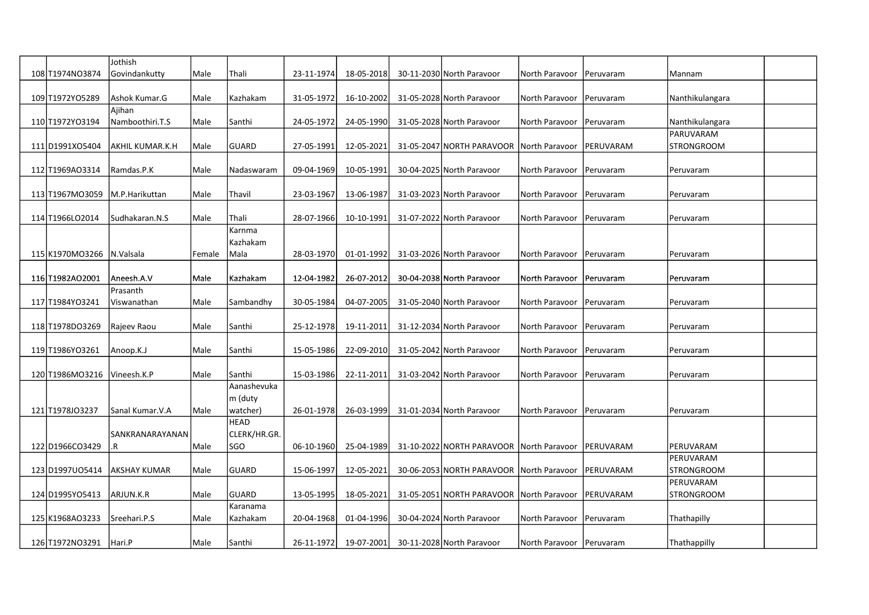|                 | Jothish               |        |                     |            |            |                                          |                            |                   |                   |  |
|-----------------|-----------------------|--------|---------------------|------------|------------|------------------------------------------|----------------------------|-------------------|-------------------|--|
| 108 T1974N03874 | Govindankutty         | Male   | Thali               | 23-11-1974 | 18-05-2018 | 30-11-2030 North Paravoor                | North Paravoor             | Peruvaram         | Mannam            |  |
| 109 T1972YO5289 | Ashok Kumar.G         | Male   | Kazhakam            | 31-05-1972 | 16-10-2002 | 31-05-2028 North Paravoor                | North Paravoor             | Peruvaram         | Nanthikulangara   |  |
|                 | Ajihan                |        |                     |            |            |                                          |                            |                   |                   |  |
| 110 T1972YO3194 | Namboothiri.T.S       | Male   | Santhi              | 24-05-1972 | 24-05-1990 | 31-05-2028 North Paravoor                | North Paravoor             | Peruvaram         | Nanthikulangara   |  |
|                 |                       |        |                     |            |            |                                          |                            |                   | PARUVARAM         |  |
| 111 D1991X05404 | AKHIL KUMAR.K.H       | Male   | <b>GUARD</b>        | 27-05-1991 | 12-05-2021 | 31-05-2047 NORTH PARAVOOR                | North Paravoor             | PERUVARAM         | <b>STRONGROOM</b> |  |
| 112 T1969AO3314 | Ramdas.P.K            | Male   | Nadaswaram          | 09-04-1969 | 10-05-1991 | 30-04-2025 North Paravoor                | North Paravoor   Peruvaram |                   | Peruvaram         |  |
|                 |                       |        |                     |            |            |                                          |                            |                   |                   |  |
| 113 T1967MO3059 | M.P.Harikuttan        | Male   | Thavil              | 23-03-1967 | 13-06-1987 | 31-03-2023 North Paravoor                | North Paravoor             | Peruvaram         | Peruvaram         |  |
|                 |                       |        |                     |            |            |                                          |                            |                   |                   |  |
| 114 T1966LO2014 | Sudhakaran.N.S        | Male   | Thali               | 28-07-1966 | 10-10-1991 | 31-07-2022 North Paravoor                | North Paravoor             | Peruvaram         | Peruvaram         |  |
|                 |                       |        | Karnma<br>Kazhakam  |            |            |                                          |                            |                   |                   |  |
| 115 K1970MO3266 | N.Valsala             | Female | Mala                | 28-03-1970 | 01-01-1992 | 31-03-2026 North Paravoor                | North Paravoor             | Peruvaram         | Peruvaram         |  |
|                 |                       |        |                     |            |            |                                          |                            |                   |                   |  |
| 116 T1982AO2001 | Aneesh.A.V            | Male   | Kazhakam            | 12-04-1982 | 26-07-2012 | 30-04-2038 North Paravoor                | North Paravoor             | Peruvaram         | Peruvaram         |  |
|                 | Prasanth              |        |                     |            |            |                                          |                            |                   |                   |  |
| 117 T1984YO3241 | Viswanathan           | Male   | Sambandhy           | 30-05-1984 | 04-07-2005 | 31-05-2040 North Paravoor                | North Paravoor   Peruvaram |                   | Peruvaram         |  |
|                 |                       |        |                     |            |            |                                          |                            |                   |                   |  |
| 118 T1978DO3269 | Rajeev Raou           | Male   | Santhi              | 25-12-1978 | 19-11-2011 | 31-12-2034 North Paravoor                | North Paravoor             | Peruvaram         | Peruvaram         |  |
| 119 T1986YO3261 | Anoop.K.J             | Male   | Santhi              | 15-05-1986 | 22-09-2010 | 31-05-2042 North Paravoor                | North Paravoor             | Peruvaram         | Peruvaram         |  |
|                 |                       |        |                     |            |            |                                          |                            |                   |                   |  |
| 120 T1986MO3216 | Vineesh.K.P           | Male   | Santhi              | 15-03-1986 | 22-11-2011 | 31-03-2042 North Paravoor                | North Paravoor             | Peruvaram         | Peruvaram         |  |
|                 |                       |        | Aanashevuka         |            |            |                                          |                            |                   |                   |  |
|                 |                       |        | $\vert$ m (duty     |            |            |                                          |                            |                   |                   |  |
| 121 T1978J03237 | Sanal Kumar.V.A       | Male   | watcher)            | 26-01-1978 | 26-03-1999 | 31-01-2034 North Paravoor                | North Paravoor             | Peruvaram         | Peruvaram         |  |
|                 |                       |        | <b>HEAD</b>         |            |            |                                          |                            |                   |                   |  |
| 122 D1966CO3429 | SANKRANARAYANAN<br>R. | l Male | CLERK/HR.GR.<br>SGO | 06-10-1960 | 25-04-1989 | 31-10-2022 NORTH PARAVOOR North Paravoor |                            | <b>IPERUVARAM</b> | PERUVARAM         |  |
|                 |                       |        |                     |            |            |                                          |                            |                   | PERUVARAM         |  |
| 123 D1997U05414 | AKSHAY KUMAR          | Male   | <b>GUARD</b>        | 15-06-1997 | 12-05-2021 | 30-06-2053 NORTH PARAVOOR North Paravoor |                            | PERUVARAM         | <b>STRONGROOM</b> |  |
|                 |                       |        |                     |            |            |                                          |                            |                   | PERUVARAM         |  |
| 124 D1995YO5413 | ARJUN.K.R             | Male   | <b>GUARD</b>        | 13-05-1995 | 18-05-2021 | 31-05-2051 NORTH PARAVOOR North Paravoor |                            | PERUVARAM         | <b>STRONGROOM</b> |  |
|                 |                       |        | Karanama            |            |            |                                          |                            |                   |                   |  |
| 125 K1968AO3233 | Sreehari.P.S          | Male   | Kazhakam            | 20-04-1968 | 01-04-1996 | 30-04-2024 North Paravoor                | North Paravoor             | Peruvaram         | Thathapilly       |  |
|                 |                       |        |                     |            |            |                                          |                            |                   |                   |  |
| 126 T1972NO3291 | Hari.P                | Male   | Santhi              | 26-11-1972 | 19-07-2001 | 30-11-2028 North Paravoor                | North Paravoor   Peruvaram |                   | Thathappilly      |  |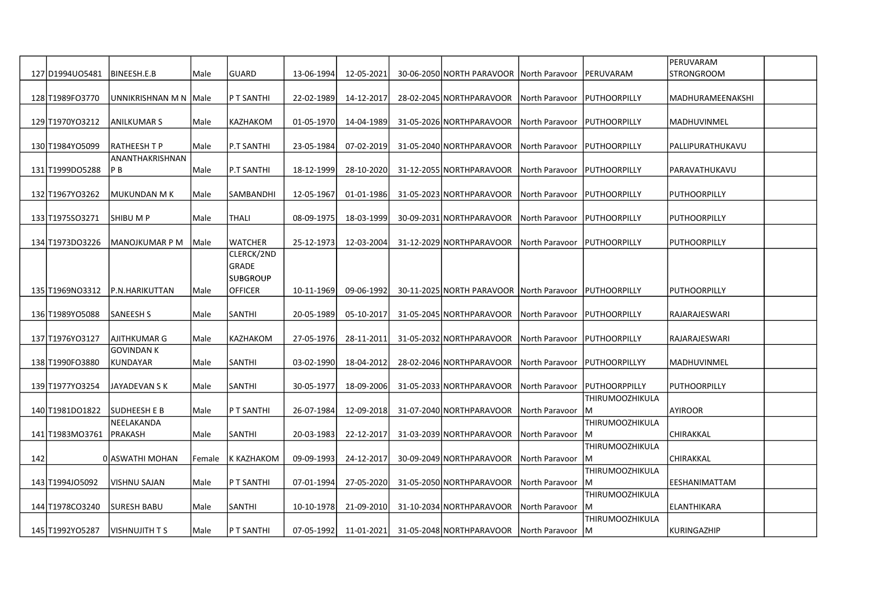|     |                  |                         |        |                 |            |            |                                          |                |                        | PERUVARAM           |  |
|-----|------------------|-------------------------|--------|-----------------|------------|------------|------------------------------------------|----------------|------------------------|---------------------|--|
|     | 127 D1994 U05481 | BINEESH.E.B             | Male   | GUARD           | 13-06-1994 | 12-05-2021 | 30-06-2050 NORTH PARAVOOR North Paravoor |                | PERUVARAM              | STRONGROOM          |  |
|     |                  |                         |        |                 |            |            |                                          |                |                        |                     |  |
|     | 128 T1989F03770  | UNNIKRISHNAN M N   Male |        | P T SANTHI      | 22-02-1989 | 14-12-2017 | 28-02-2045 NORTHPARAVOOR                 | North Paravoor | PUTHOORPILLY           | MADHURAMEENAKSHI    |  |
|     |                  |                         |        |                 |            |            |                                          |                |                        |                     |  |
|     | 129 T1970YO3212  | <b>ANILKUMAR S</b>      | Male   | KAZHAKOM        | 01-05-1970 | 14-04-1989 | 31-05-2026 NORTHPARAVOOR                 | North Paravoor | PUTHOORPILLY           | MADHUVINMEL         |  |
|     |                  |                         |        |                 |            |            |                                          |                |                        |                     |  |
|     | 130 T1984YO5099  | RATHEESH T P            | Male   | P.T SANTHI      | 23-05-1984 | 07-02-2019 | 31-05-2040 NORTHPARAVOOR                 | North Paravoor | <b>PUTHOORPILLY</b>    | PALLIPURATHUKAVU    |  |
|     |                  | ANANTHAKRISHNAN         |        |                 |            |            |                                          |                |                        |                     |  |
|     | 131 T1999D05288  | P B                     | Male   | P.T SANTHI      | 18-12-1999 | 28-10-2020 | 31-12-2055 NORTHPARAVOOR                 | North Paravoor | PUTHOORPILLY           | PARAVATHUKAVU       |  |
|     |                  |                         |        |                 |            |            |                                          |                |                        |                     |  |
|     | 132 T1967YO3262  | MUKUNDAN M K            | Male   | SAMBANDHI       | 12-05-1967 | 01-01-1986 | 31-05-2023 NORTHPARAVOOR                 | North Paravoor | <b>PUTHOORPILLY</b>    | PUTHOORPILLY        |  |
|     |                  |                         |        |                 |            |            |                                          |                |                        |                     |  |
|     | 133 T1975SO3271  | SHIBU M P               | Male   | <b>THALI</b>    | 08-09-1975 | 18-03-1999 | 30-09-2031 NORTHPARAVOOR                 | North Paravoor | <b>PUTHOORPILLY</b>    | PUTHOORPILLY        |  |
|     |                  |                         |        |                 |            |            |                                          |                |                        |                     |  |
|     | 134 T1973DO3226  | MANOJKUMAR P M          | Male   | <b>WATCHER</b>  | 25-12-1973 | 12-03-2004 | 31-12-2029 NORTHPARAVOOR                 | North Paravoor | PUTHOORPILLY           | PUTHOORPILLY        |  |
|     |                  |                         |        | CLERCK/2ND      |            |            |                                          |                |                        |                     |  |
|     |                  |                         |        | GRADE           |            |            |                                          |                |                        |                     |  |
|     |                  |                         |        | <b>SUBGROUP</b> |            |            |                                          |                |                        |                     |  |
|     | 135 T1969NO3312  | <b>P.N.HARIKUTTAN</b>   | Male   | <b>OFFICER</b>  | 10-11-1969 | 09-06-1992 | 30-11-2025 NORTH PARAVOOR North Paravoor |                | <b>PUTHOORPILLY</b>    | <b>PUTHOORPILLY</b> |  |
|     |                  |                         |        |                 |            |            |                                          |                |                        |                     |  |
|     | 136 T1989YO5088  | <b>SANEESH S</b>        | Male   | <b>SANTHI</b>   | 20-05-1989 | 05-10-2017 | 31-05-2045 NORTHPARAVOOR                 | North Paravoor | PUTHOORPILLY           | RAJARAJESWARI       |  |
|     |                  |                         |        |                 |            |            |                                          |                |                        |                     |  |
|     | 137 T1976YO3127  | AJITHKUMAR G            | Male   | <b>KAZHAKOM</b> | 27-05-1976 | 28-11-2011 | 31-05-2032 NORTHPARAVOOR                 | North Paravoor | <b>PUTHOORPILLY</b>    | RAJARAJESWARI       |  |
|     |                  | GOVINDAN K              |        |                 |            |            |                                          |                |                        |                     |  |
|     | 138 T1990FO3880  | KUNDAYAR                | Male   | <b>SANTHI</b>   | 03-02-1990 | 18-04-2012 | 28-02-2046 NORTHPARAVOOR                 | North Paravoor | PUTHOORPILLYY          | MADHUVINMEL         |  |
|     |                  |                         |        |                 |            |            |                                          |                |                        |                     |  |
|     | 139 T1977YO3254  | JAYADEVAN S K           | Male   | SANTHI          | 30-05-1977 | 18-09-2006 | 31-05-2033 NORTHPARAVOOR                 | North Paravoor | <b>IPUTHOORPPILLY</b>  | PUTHOORPILLY        |  |
|     |                  |                         |        |                 |            |            |                                          |                | THIRUMOOZHIKULA        |                     |  |
|     | 140 T1981DO1822  | SUDHEESH E B            | Male   | P T SANTHI      | 26-07-1984 | 12-09-2018 | 31-07-2040 NORTHPARAVOOR                 | North Paravoor | IM.                    | <b>AYIROOR</b>      |  |
|     |                  | NEELAKANDA              |        |                 |            |            |                                          |                | THIRUMOOZHIKULA        |                     |  |
|     | 141 T1983MO3761  | PRAKASH                 | Male   | <b>SANTHI</b>   | 20-03-1983 | 22-12-2017 | 31-03-2039 NORTHPARAVOOR                 | North Paravoor | IM.                    | CHIRAKKAL           |  |
|     |                  |                         |        |                 |            |            |                                          |                | THIRUMOOZHIKULA        |                     |  |
| 142 |                  | 0 ASWATHI MOHAN         | Female | K KAZHAKOM      | 09-09-1993 | 24-12-2017 | 30-09-2049 NORTHPARAVOOR                 | North Paravoor | lм                     | CHIRAKKAL           |  |
|     |                  |                         |        |                 |            |            |                                          |                | THIRUMOOZHIKULA        |                     |  |
|     | 143 T1994J05092  | VISHNU SAJAN            | Male   | P T SANTHI      | 07-01-1994 | 27-05-2020 | 31-05-2050 NORTHPARAVOOR                 | North Paravoor | IM.                    | EESHANIMATTAM       |  |
|     |                  |                         |        |                 |            |            |                                          |                | <b>THIRUMOOZHIKULA</b> |                     |  |
|     | 144 T1978CO3240  | <b>SURESH BABU</b>      | Male   | <b>SANTHI</b>   | 10-10-1978 | 21-09-2010 | 31-10-2034 NORTHPARAVOOR                 | North Paravoor | IM.                    | ELANTHIKARA         |  |
|     |                  |                         |        |                 |            |            |                                          |                | <b>THIRUMOOZHIKULA</b> |                     |  |
|     | 145 T1992YO5287  | VISHNUJITH T S          | Male   | P T SANTHI      | 07-05-1992 | 11-01-2021 | 31-05-2048 NORTHPARAVOOR                 | North Paravoor | IM.                    | KURINGAZHIP         |  |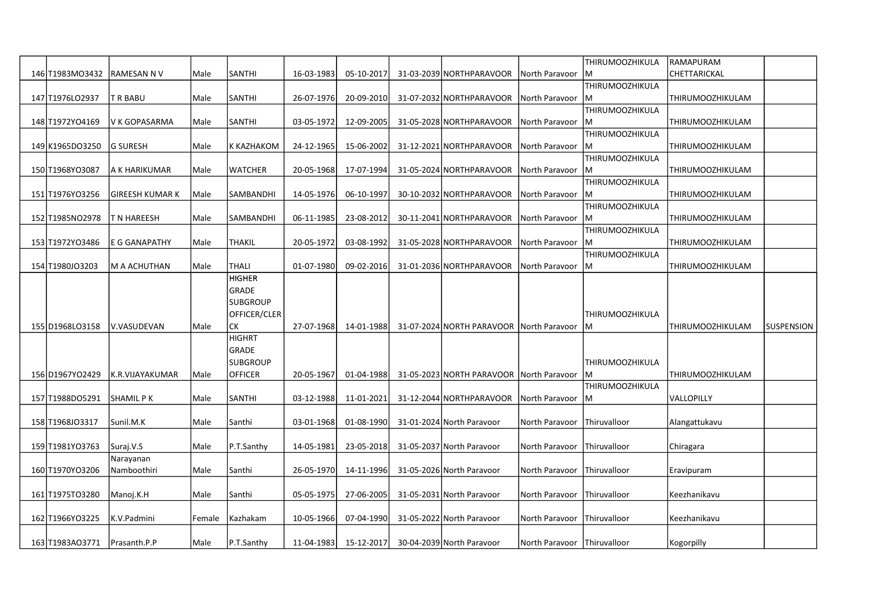|                  |                   |        |                 |            |            |                                          |                               | THIRUMOOZHIKULA        | RAMAPURAM        |            |
|------------------|-------------------|--------|-----------------|------------|------------|------------------------------------------|-------------------------------|------------------------|------------------|------------|
| 146 T1983MO3432  | <b>RAMESAN NV</b> | Male   | <b>SANTHI</b>   | 16-03-1983 | 05-10-2017 | 31-03-2039 NORTHPARAVOOR                 | North Paravoor                | M                      | CHETTARICKAL     |            |
|                  |                   |        |                 |            |            |                                          |                               | <b>THIRUMOOZHIKULA</b> |                  |            |
| 147 T1976 LO2937 | T R BABU          | Male   | <b>SANTHI</b>   | 26-07-1976 | 20-09-2010 | 31-07-2032 NORTHPARAVOOR                 | North Paravoor                | lM                     | THIRUMOOZHIKULAM |            |
|                  |                   |        |                 |            |            |                                          |                               | THIRUMOOZHIKULA        |                  |            |
| 148 T1972YO4169  | V K GOPASARMA     | Male   | <b>SANTHI</b>   | 03-05-1972 | 12-09-2005 | 31-05-2028 NORTHPARAVOOR                 | North Paravoor                | lм                     | THIRUMOOZHIKULAM |            |
|                  |                   |        |                 |            |            |                                          |                               | THIRUMOOZHIKULA        |                  |            |
| 149 K1965DO3250  | lg suresh         | Male   | K KAZHAKOM      | 24-12-1965 | 15-06-2002 | 31-12-2021 NORTHPARAVOOR                 | North Paravoor                | lм                     | THIRUMOOZHIKULAM |            |
|                  |                   |        |                 |            |            |                                          |                               | THIRUMOOZHIKULA        |                  |            |
| 150 T1968YO3087  | A K HARIKUMAR     | Male   | <b>WATCHER</b>  | 20-05-1968 | 17-07-1994 | 31-05-2024 NORTHPARAVOOR                 | North Paravoor                | IМ                     | THIRUMOOZHIKULAM |            |
|                  |                   |        |                 |            |            |                                          |                               | THIRUMOOZHIKULA        |                  |            |
| 151 T1976YO3256  | GIREESH KUMAR K   | Male   | SAMBANDHI       | 14-05-1976 | 06-10-1997 | 30-10-2032 NORTHPARAVOOR                 | North Paravoor                | ļМ                     | THIRUMOOZHIKULAM |            |
|                  |                   |        |                 |            |            |                                          |                               | <b>THIRUMOOZHIKULA</b> |                  |            |
| 152 T1985NO2978  | T N HAREESH       | Male   | SAMBANDHI       | 06-11-1985 | 23-08-2012 | 30-11-2041 NORTHPARAVOOR                 | North Paravoor                | lм                     | THIRUMOOZHIKULAM |            |
|                  |                   |        |                 |            |            |                                          |                               | <b>THIRUMOOZHIKULA</b> |                  |            |
| 153 T1972YO3486  | E G GANAPATHY     | Male   | <b>THAKIL</b>   | 20-05-1972 | 03-08-1992 | 31-05-2028 NORTHPARAVOOR                 | North Paravoor                | lM                     | THIRUMOOZHIKULAM |            |
|                  |                   |        |                 |            |            |                                          |                               | <b>THIRUMOOZHIKULA</b> |                  |            |
| 154 T1980JO3203  | M A ACHUTHAN      | Male   | <b>THALI</b>    | 01-07-1980 | 09-02-2016 | 31-01-2036 NORTHPARAVOOR                 | North Paravoor                | lм                     | THIRUMOOZHIKULAM |            |
|                  |                   |        | <b>HIGHER</b>   |            |            |                                          |                               |                        |                  |            |
|                  |                   |        | <b>GRADE</b>    |            |            |                                          |                               |                        |                  |            |
|                  |                   |        | <b>SUBGROUP</b> |            |            |                                          |                               |                        |                  |            |
|                  |                   |        | OFFICER/CLER    |            |            |                                          |                               | THIRUMOOZHIKULA        |                  |            |
| 155 D1968LO3158  | V.VASUDEVAN       | Male   | <b>ICK</b>      | 27-07-1968 | 14-01-1988 | 31-07-2024 NORTH PARAVOOR North Paravoor |                               | M                      | THIRUMOOZHIKULAM | SUSPENSION |
|                  |                   |        | HIGHRT          |            |            |                                          |                               |                        |                  |            |
|                  |                   |        | GRADE           |            |            |                                          |                               |                        |                  |            |
|                  |                   |        | <b>SUBGROUP</b> |            |            |                                          |                               | THIRUMOOZHIKULA        |                  |            |
| 156 D1967YO2429  | K.R.VIJAYAKUMAR   | Male   | <b>OFFICER</b>  | 20-05-1967 | 01-04-1988 | 31-05-2023 NORTH PARAVOOR North Paravoor |                               | IМ                     | THIRUMOOZHIKULAM |            |
|                  |                   |        |                 |            |            |                                          |                               | <b>THIRUMOOZHIKULA</b> |                  |            |
| 157 T1988DO5291  | SHAMIL P K        | Male   | <b>SANTHI</b>   | 03-12-1988 | 11-01-2021 | 31-12-2044 NORTHPARAVOOR                 | North Paravoor                | lм                     | VALLOPILLY       |            |
|                  |                   |        |                 |            |            |                                          |                               |                        |                  |            |
| 158 T1968J03317  | lSunil.M.K        | Male   | Santhi          | 03-01-1968 | 01-08-1990 | 31-01-2024 North Paravoor                | North Paravoor                | <b>Thiruvalloor</b>    | Alangattukavu    |            |
|                  |                   |        |                 |            |            |                                          |                               |                        |                  |            |
| 159 T1981YO3763  | Suraj.V.S         | Male   | P.T.Santhy      | 14-05-1981 | 23-05-2018 | 31-05-2037 North Paravoor                | North Paravoor                | Thiruvalloor           | Chiragara        |            |
|                  | Narayanan         |        |                 |            |            |                                          |                               |                        |                  |            |
| 160 T1970YO3206  | Namboothiri       | Male   | Santhi          | 26-05-1970 | 14-11-1996 | 31-05-2026 North Paravoor                | North Paravoor                | Thiruvalloor           | Eravipuram       |            |
|                  |                   |        |                 |            |            |                                          |                               |                        |                  |            |
|                  | Manoj.K.H         | Male   | Santhi          | 05-05-1975 | 27-06-2005 | 31-05-2031 North Paravoor                | North Paravoor                | Thiruvalloor           | Keezhanikavu     |            |
| 161 T1975T03280  |                   |        |                 |            |            |                                          |                               |                        |                  |            |
|                  |                   |        |                 |            |            |                                          |                               |                        |                  |            |
| 162 T1966YO3225  | K.V.Padmini       | Female | Kazhakam        | 10-05-1966 | 07-04-1990 | 31-05-2022 North Paravoor                | North Paravoor                | Thiruvalloor           | Keezhanikavu     |            |
| 163 T1983A03771  | Prasanth.P.P      | Male   | P.T.Santhy      | 11-04-1983 | 15-12-2017 | 30-04-2039 North Paravoor                | North Paravoor   Thiruvalloor |                        | Kogorpilly       |            |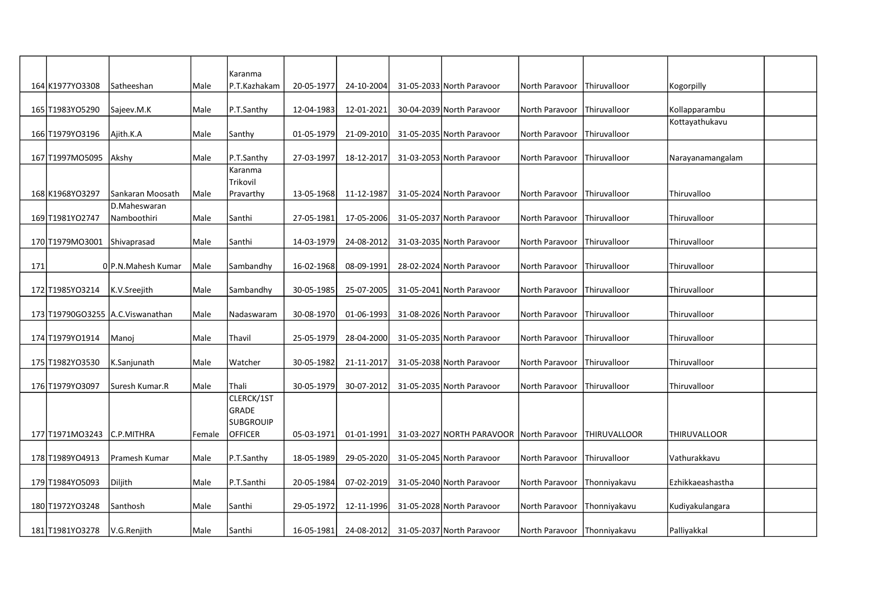|     |                            |                                  |        | Karanma                   |            |            |                                          |                               |                      |                                 |  |
|-----|----------------------------|----------------------------------|--------|---------------------------|------------|------------|------------------------------------------|-------------------------------|----------------------|---------------------------------|--|
|     | 164 K1977YO3308            | Satheeshan                       | Male   | P.T.Kazhakam              | 20-05-1977 | 24-10-2004 | 31-05-2033 North Paravoor                | North Paravoor                | <b>Thiruvalloor</b>  | Kogorpilly                      |  |
|     |                            |                                  |        |                           |            |            |                                          |                               |                      |                                 |  |
|     | 165 T1983 YO5290           | Sajeev.M.K                       | Male   | P.T.Santhy                | 12-04-1983 | 12-01-2021 | 30-04-2039 North Paravoor                | North Paravoor                | <b>Thiruvalloor</b>  | Kollapparambu<br>Kottayathukavu |  |
|     | 166 T1979YO3196            | Ajith.K.A                        | Male   | Santhy                    | 01-05-1979 | 21-09-2010 | 31-05-2035 North Paravoor                | North Paravoor                | Thiruvalloor         |                                 |  |
|     | 167 T1997MO5095            | Akshy                            | Male   | P.T.Santhy                | 27-03-1997 | 18-12-2017 | 31-03-2053 North Paravoor                | North Paravoor                | <b>Thiruvalloor</b>  | Narayanamangalam                |  |
|     |                            |                                  |        | Karanma                   |            |            |                                          |                               |                      |                                 |  |
|     |                            |                                  |        | Trikovil                  |            |            |                                          |                               |                      |                                 |  |
|     | 168 K1968YO3297            | Sankaran Moosath                 | Male   | Pravarthy                 | 13-05-1968 | 11-12-1987 | 31-05-2024 North Paravoor                | North Paravoor                | <b>Thiruvalloor</b>  | Thiruvalloo                     |  |
|     |                            | D.Maheswaran                     |        |                           |            |            |                                          |                               |                      |                                 |  |
|     | 169 T1981YO2747            | Namboothiri                      | l Male | Santhi                    | 27-05-1981 | 17-05-2006 | 31-05-2037 North Paravoor                | North Paravoor                | <b>Thiruvalloor</b>  | Thiruvalloor                    |  |
|     | 170 T1979MO3001            | Shivaprasad                      | Male   | Santhi                    | 14-03-1979 | 24-08-2012 | 31-03-2035 North Paravoor                | North Paravoor                | Thiruvalloor         | Thiruvalloor                    |  |
|     |                            |                                  |        |                           |            |            |                                          |                               |                      |                                 |  |
| 171 |                            | OLP.N.Mahesh Kumar               | Male   | Sambandhy                 | 16-02-1968 | 08-09-1991 | 28-02-2024 North Paravoor                | North Paravoor                | <b>Thiruvalloor</b>  | Thiruvalloor                    |  |
|     |                            |                                  |        |                           |            |            |                                          |                               | Thiruvalloor         | Thiruvalloor                    |  |
|     | 172 T1985YO3214            | K.V.Sreejith                     | Male   | Sambandhy                 | 30-05-1985 | 25-07-2005 | 31-05-2041 North Paravoor                | North Paravoor                |                      |                                 |  |
|     |                            | 173 T19790GO3255 A.C.Viswanathan | Male   | Nadaswaram                | 30-08-1970 | 01-06-1993 | 31-08-2026 North Paravoor                | North Paravoor                | Thiruvalloor         | Thiruvalloor                    |  |
|     |                            |                                  |        |                           |            |            |                                          |                               |                      |                                 |  |
|     | 174 T1979YO1914            | Manoj                            | Male   | Thavil                    | 25-05-1979 | 28-04-2000 | 31-05-2035 North Paravoor                | North Paravoor                | Thiruvalloor         | Thiruvalloor                    |  |
|     | 175 T1982YO3530            | K.Sanjunath                      | Male   | Watcher                   | 30-05-1982 | 21-11-2017 | 31-05-2038 North Paravoor                | North Paravoor                | Thiruvalloor         | Thiruvalloor                    |  |
|     |                            |                                  |        |                           |            |            |                                          |                               |                      |                                 |  |
|     | 176 T1979YO3097            | Suresh Kumar.R                   | Male   | Thali                     | 30-05-1979 | 30-07-2012 | 31-05-2035 North Paravoor                | North Paravoor                | <b>Thiruvalloor</b>  | Thiruvalloor                    |  |
|     |                            |                                  |        | CLERCK/1ST                |            |            |                                          |                               |                      |                                 |  |
|     |                            |                                  |        | GRADE<br><b>SUBGROUIP</b> |            |            |                                          |                               |                      |                                 |  |
|     | 177 T1971MO3243 C.P.MITHRA |                                  | Female | OFFICER                   | 05-03-1971 | 01-01-1991 | 31-03-2027 NORTH PARAVOOR North Paravoor |                               | <b>ITHIRUVALLOOR</b> | <b>THIRUVALLOOR</b>             |  |
|     |                            |                                  |        |                           |            |            |                                          |                               |                      |                                 |  |
|     | 178 T1989YO4913            | Pramesh Kumar                    | Male   | P.T.Santhy                | 18-05-1989 | 29-05-2020 | 31-05-2045 North Paravoor                | North Paravoor                | Thiruvalloor         | Vathurakkavu                    |  |
|     |                            |                                  |        |                           |            |            |                                          |                               |                      |                                 |  |
|     | 179 T1984YO5093            | Diljith                          | Male   | P.T.Santhi                | 20-05-1984 | 07-02-2019 | 31-05-2040 North Paravoor                | North Paravoor                | Thonniyakavu         | Ezhikkaeashastha                |  |
|     | 180 T1972YO3248            | Santhosh                         | Male   | Santhi                    | 29-05-1972 | 12-11-1996 | 31-05-2028 North Paravoor                | North Paravoor                | Thonniyakavu         | Kudiyakulangara                 |  |
|     |                            |                                  |        |                           |            |            |                                          |                               |                      |                                 |  |
|     | 181 T1981YO3278            | V.G.Renjith                      | Male   | Santhi                    | 16-05-1981 | 24-08-2012 | 31-05-2037 North Paravoor                | North Paravoor   Thonniyakavu |                      | Palliyakkal                     |  |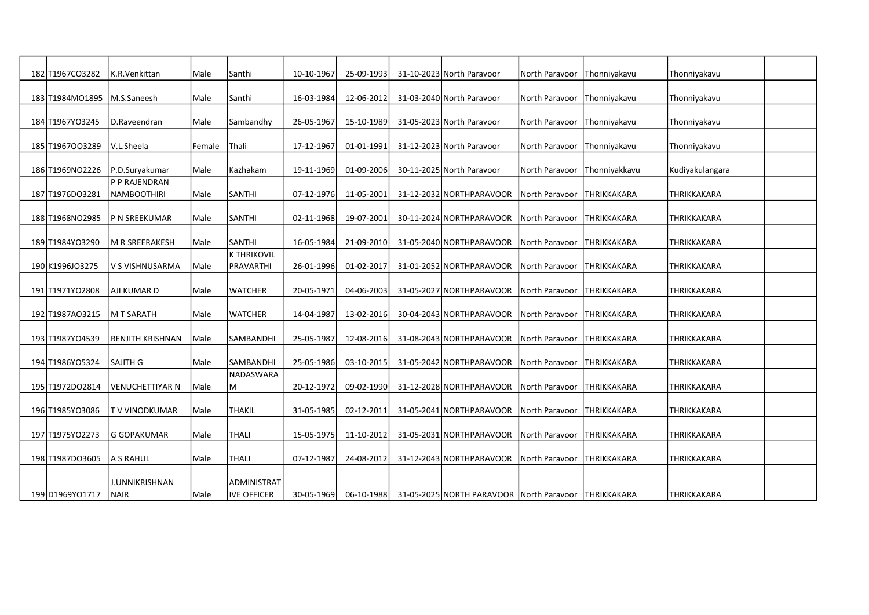| 182 T1967CO3282               | K.R.Venkittan      | Male   | Santhi             | 10-10-1967       | 25-09-1993   | 31-10-2023 North Paravoor                            | North Paravoor         | <b>Thonniyakavu</b> | Thonniyakavu       |  |
|-------------------------------|--------------------|--------|--------------------|------------------|--------------|------------------------------------------------------|------------------------|---------------------|--------------------|--|
| 183 T1984MO1895   M.S.Saneesh |                    | Male   | Santhi             | 16-03-1984       | 12-06-2012   | 31-03-2040 North Paravoor                            | North Paravoor         | Thonniyakavu        | Thonniyakavu       |  |
|                               |                    |        |                    |                  |              |                                                      |                        |                     |                    |  |
| 184 T1967YO3245               | D.Raveendran       | Male   | Sambandhy          | 26-05-1967       | 15-10-1989   | 31-05-2023 North Paravoor                            | North Paravoor         | Thonniyakavu        | Thonniyakavu       |  |
| 185 T1967003289               | V.L.Sheela         | Female | Thali              | 17-12-1967       | 01-01-1991   | 31-12-2023 North Paravoor                            | North Paravoor         | Thonniyakavu        | Thonniyakavu       |  |
| 186 T1969NO2226               | P.D.Suryakumar     | Male   | Kazhakam           | 19-11-1969       | $01-09-2006$ | 30-11-2025 North Paravoor                            | North Paravoor         | Thonniyakkavu       | Kudiyakulangara    |  |
|                               | P P RAJENDRAN      |        |                    |                  |              |                                                      |                        |                     |                    |  |
| 187 T1976DO3281               | NAMBOOTHIRI        | Male   | SANTHI             | $07 - 12 - 1976$ | 11-05-2001   | 31-12-2032 NORTHPARAVOOR                             | North Paravoor         | <b>THRIKKAKARA</b>  | <b>THRIKKAKARA</b> |  |
| 188 T1968NO2985               | IP N SREEKUMAR     | Male   | <b>SANTHI</b>      | 02-11-1968       | 19-07-2001   | 30-11-2024 NORTHPARAVOOR                             | North Paravoor         | THRIKKAKARA         | THRIKKAKARA        |  |
| 189 T1984YO3290               | lm R SREERAKESH    | Male   | <b>SANTHI</b>      | 16-05-1984       | 21-09-2010   | 31-05-2040 NORTHPARAVOOR                             | North Paravoor         | ITHRIKKAKARA        | <b>THRIKKAKARA</b> |  |
|                               |                    |        | Ik thrikovil       |                  |              |                                                      |                        |                     |                    |  |
| 190 K1996JO3275               | V S VISHNUSARMA    | Male   | PRAVARTHI          | 26-01-1996       | 01-02-2017   | 31-01-2052 NORTHPARAVOOR                             | North Paravoor         | <b>THRIKKAKARA</b>  | THRIKKAKARA        |  |
| 191 T1971YO2808               | AJI KUMAR D        | Male   | <b>WATCHER</b>     | 20-05-1971       | 04-06-2003   | 31-05-2027 NORTHPARAVOOR                             | North Paravoor         | <b>THRIKKAKARA</b>  | THRIKKAKARA        |  |
| 192 T1987AO3215               | M T SARATH         | Male   | <b>WATCHER</b>     | 14-04-1987       | 13-02-2016   | 30-04-2043 NORTHPARAVOOR                             | North Paravoor         | <b>THRIKKAKARA</b>  | <b>THRIKKAKARA</b> |  |
| 193 T1987YO4539               | IRENJITH KRISHNAN  | Male   | SAMBANDHI          | 25-05-1987       | 12-08-2016   | 31-08-2043 NORTHPARAVOOR                             | North Paravoor         | THRIKKAKARA         | <b>THRIKKAKARA</b> |  |
|                               |                    |        |                    |                  |              |                                                      |                        |                     |                    |  |
| 194 T1986YO5324               | <b>SAJITH G</b>    | Male   | SAMBANDHI          | 25-05-1986       | 03-10-2015   | 31-05-2042 NORTHPARAVOOR                             | North Paravoor         | THRIKKAKARA         | <b>THRIKKAKARA</b> |  |
| 195 T1972DO2814               | VENUCHETTIYAR N    | Male   | INADASWARA<br>M    | 20-12-1972       | 09-02-1990   | 31-12-2028 NORTHPARAVOOR                             | <b>INorth Paravoor</b> | <b>THRIKKAKARA</b>  | <b>THRIKKAKARA</b> |  |
| 196 T1985YO3086               | T V VINODKUMAR     | Male   | <b>THAKIL</b>      | 31-05-1985       | 02-12-2011   | 31-05-2041 NORTHPARAVOOR                             | North Paravoor         | <b>THRIKKAKARA</b>  | <b>THRIKKAKARA</b> |  |
|                               |                    |        |                    |                  |              |                                                      |                        |                     |                    |  |
| 197 T1975YO2273               | <b>G GOPAKUMAR</b> | Male   | <b>THALI</b>       | 15-05-1975       | 11-10-2012   | 31-05-2031 NORTHPARAVOOR                             | North Paravoor         | <b>THRIKKAKARA</b>  | <b>THRIKKAKARA</b> |  |
| 198 T1987DO3605               | A S RAHUL          | Male   | THALI              | 07-12-1987       | 24-08-2012   | 31-12-2043 NORTHPARAVOOR                             | North Paravoor         | THRIKKAKARA         | <b>THRIKKAKARA</b> |  |
|                               | J.UNNIKRISHNAN     |        | ADMINISTRAT        |                  |              |                                                      |                        |                     |                    |  |
| 199 D1969YO1717               | NAIR               | Male   | <b>IVE OFFICER</b> | 30-05-1969       | 06-10-1988   | 31-05-2025 NORTH PARAVOOR North Paravoor THRIKKAKARA |                        |                     | THRIKKAKARA        |  |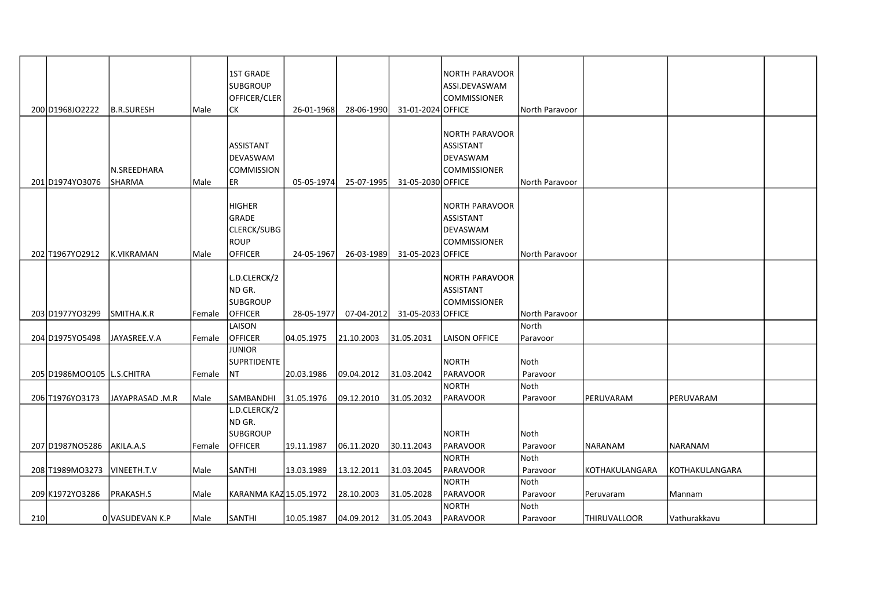|     |                            |                       |        | <b>1ST GRADE</b><br><b>SUBGROUP</b><br>OFFICER/CLER                           |            |            |                   | INORTH PARAVOOR<br>ASSI.DEVASWAM<br><b>COMMISSIONER</b>          |                   |                |                |  |
|-----|----------------------------|-----------------------|--------|-------------------------------------------------------------------------------|------------|------------|-------------------|------------------------------------------------------------------|-------------------|----------------|----------------|--|
|     | 200 D1968JO2222            | <b>B.R.SURESH</b>     | Male   | СK                                                                            | 26-01-1968 | 28-06-1990 | 31-01-2024 OFFICE |                                                                  | North Paravoor    |                |                |  |
|     | 201D1974YO3076             | N.SREEDHARA<br>SHARMA | l Male | ASSISTANT<br>DEVASWAM<br><b>COMMISSION</b><br>ER                              | 05-05-1974 | 25-07-1995 | 31-05-2030 OFFICE | NORTH PARAVOOR<br>lassistant<br><b>DEVASWAM</b><br> COMMISSIONER | l North Paravoor  |                |                |  |
|     | 202 T1967YO2912            | K.VIKRAMAN            | Male   | <b>HIGHER</b><br>GRADE<br><b>CLERCK/SUBG</b><br><b>ROUP</b><br><b>OFFICER</b> | 24-05-1967 | 26-03-1989 | 31-05-2023 OFFICE | NORTH PARAVOOR<br>ASSISTANT<br>DEVASWAM<br><b>COMMISSIONER</b>   | North Paravoor    |                |                |  |
|     | 203 D1977YO3299            | SMITHA.K.R            | Female | L.D.CLERCK/2<br>ND GR.<br><b>SUBGROUP</b><br><b>OFFICER</b>                   | 28-05-1977 | 07-04-2012 | 31-05-2033 OFFICE | NORTH PARAVOOR<br>ASSISTANT<br><b>COMMISSIONER</b>               | North Paravoor    |                |                |  |
|     | 204 D1975YO5498            | JAYASREE.V.A          | Female | LAISON<br><b>OFFICER</b>                                                      | 04.05.1975 | 21.10.2003 | 31.05.2031        | LAISON OFFICE                                                    | North<br>Paravoor |                |                |  |
|     | 205 D1986MOO105 L.S.CHITRA |                       | Female | <b>JUNIOR</b><br><b>SUPRTIDENTE</b><br>NT                                     | 20.03.1986 | 09.04.2012 | 31.03.2042        | NORTH<br>PARAVOOR                                                | Noth<br>Paravoor  |                |                |  |
|     | 206 T1976YO3173            | JAYAPRASAD .M.R       | Male   | SAMBANDHI                                                                     | 31.05.1976 | 09.12.2010 | 31.05.2032        | NORTH<br>PARAVOOR                                                | Noth<br>Paravoor  | PERUVARAM      | PERUVARAM      |  |
|     | 207 D1987N05286            | AKILA.A.S             | Female | L.D.CLERCK/2<br>ND GR.<br><b>SUBGROUP</b><br><b>OFFICER</b>                   | 19.11.1987 | 06.11.2020 | 30.11.2043        | <b>NORTH</b><br> PARAVOOR                                        | Noth<br>Paravoor  | NARANAM        | NARANAM        |  |
|     | 208 T1989MO3273            | VINEETH.T.V           | Male   | <b>SANTHI</b>                                                                 | 13.03.1989 | 13.12.2011 | 31.03.2045        | NORTH<br>PARAVOOR                                                | Noth<br>Paravoor  | KOTHAKULANGARA | KOTHAKULANGARA |  |
|     | 209 K1972YO3286            | PRAKASH.S             | Male   | KARANMA KAZ 15.05.1972                                                        |            | 28.10.2003 | 31.05.2028        | NORTH<br>PARAVOOR                                                | Noth<br>Paravoor  | Peruvaram      | Mannam         |  |
| 210 |                            | OIVASUDEVAN K.P       | Male   | <b>SANTHI</b>                                                                 | 10.05.1987 | 04.09.2012 | 31.05.2043        | NORTH<br><b>PARAVOOR</b>                                         | Noth<br>Paravoor  | ITHIRUVALLOOR  | l Vathurakkavu |  |